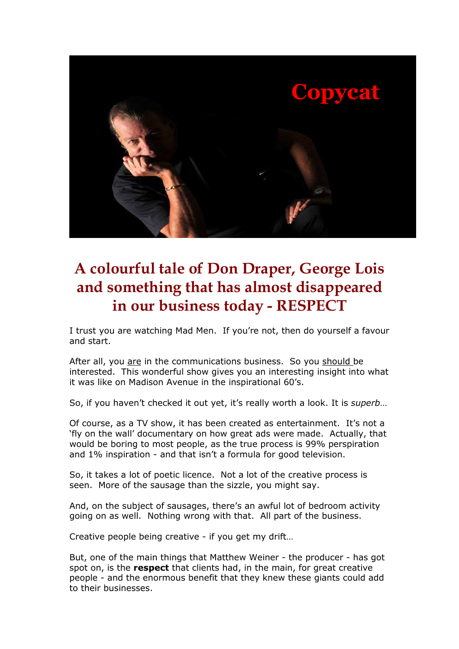

## **A colourful tale of Don Draper, George Lois and something that has almost disappeared in our business today - RESPECT**

I trust you are watching Mad Men. If you're not, then do yourself a favour and start.

After all, you are in the communications business. So you should be interested. This wonderful show gives you an interesting insight into what it was like on Madison Avenue in the inspirational 60's.

So, if you haven't checked it out yet, it's really worth a look. It is *superb*…

Of course, as a TV show, it has been created as entertainment. It's not a 'fly on the wall' documentary on how great ads were made. Actually, that would be boring to most people, as the true process is 99% perspiration and 1% inspiration - and that isn't a formula for good television.

So, it takes a lot of poetic licence. Not a lot of the creative process is seen. More of the sausage than the sizzle, you might say.

And, on the subject of sausages, there's an awful lot of bedroom activity going on as well. Nothing wrong with that. All part of the business.

Creative people being creative - if you get my drift…

But, one of the main things that Matthew Weiner - the producer - has got spot on, is the **respect** that clients had, in the main, for great creative people - and the enormous benefit that they knew these giants could add to their businesses.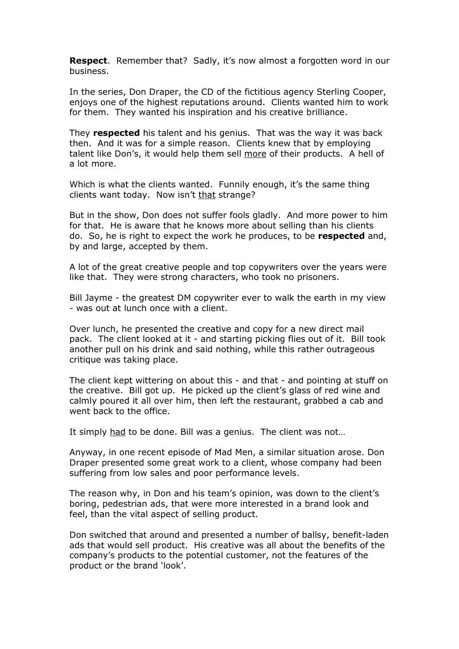**Respect.** Remember that? Sadly, it's now almost a forgotten word in our business.

In the series, Don Draper, the CD of the fictitious agency Sterling Cooper, enjoys one of the highest reputations around. Clients wanted him to work for them. They wanted his inspiration and his creative brilliance.

They **respected** his talent and his genius. That was the way it was back then. And it was for a simple reason. Clients knew that by employing talent like Don's, it would help them sell more of their products. A hell of a lot more.

Which is what the clients wanted. Funnily enough, it's the same thing clients want today. Now isn't that strange?

But in the show, Don does not suffer fools gladly. And more power to him for that. He is aware that he knows more about selling than his clients do. So, he is right to expect the work he produces, to be **respected** and, by and large, accepted by them.

A lot of the great creative people and top copywriters over the years were like that. They were strong characters, who took no prisoners.

Bill Jayme - the greatest DM copywriter ever to walk the earth in my view - was out at lunch once with a client.

Over lunch, he presented the creative and copy for a new direct mail pack. The client looked at it - and starting picking flies out of it. Bill took another pull on his drink and said nothing, while this rather outrageous critique was taking place.

The client kept wittering on about this - and that - and pointing at stuff on the creative. Bill got up. He picked up the client's glass of red wine and calmly poured it all over him, then left the restaurant, grabbed a cab and went back to the office.

It simply had to be done. Bill was a genius. The client was not...

Anyway, in one recent episode of Mad Men, a similar situation arose. Don Draper presented some great work to a client, whose company had been suffering from low sales and poor performance levels.

The reason why, in Don and his team's opinion, was down to the client's boring, pedestrian ads, that were more interested in a brand look and feel, than the vital aspect of selling product.

Don switched that around and presented a number of ballsy, benefit-laden ads that would sell product. His creative was all about the benefits of the company's products to the potential customer, not the features of the product or the brand 'look'.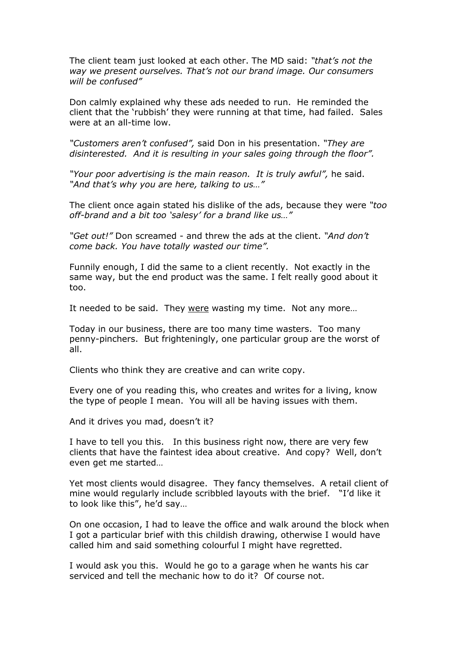The client team just looked at each other. The MD said: *"that's not the way we present ourselves. That's not our brand image. Our consumers will be confused"* 

Don calmly explained why these ads needed to run. He reminded the client that the 'rubbish' they were running at that time, had failed. Sales were at an all-time low.

*"Customers aren't confused",* said Don in his presentation. *"They are disinterested. And it is resulting in your sales going through the floor".*

*"Your poor advertising is the main reason. It is truly awful",* he said. *"And that's why you are here, talking to us…"*

The client once again stated his dislike of the ads, because they were *"too off-brand and a bit too 'salesy' for a brand like us…"* 

*"Get out!"* Don screamed - and threw the ads at the client. *"And don't come back. You have totally wasted our time".* 

Funnily enough, I did the same to a client recently. Not exactly in the same way, but the end product was the same. I felt really good about it too.

It needed to be said. They were wasting my time. Not any more…

Today in our business, there are too many time wasters. Too many penny-pinchers. But frighteningly, one particular group are the worst of all.

Clients who think they are creative and can write copy.

Every one of you reading this, who creates and writes for a living, know the type of people I mean. You will all be having issues with them.

And it drives you mad, doesn't it?

I have to tell you this. In this business right now, there are very few clients that have the faintest idea about creative. And copy? Well, don't even get me started…

Yet most clients would disagree. They fancy themselves. A retail client of mine would regularly include scribbled layouts with the brief. "I'd like it to look like this", he'd say…

On one occasion, I had to leave the office and walk around the block when I got a particular brief with this childish drawing, otherwise I would have called him and said something colourful I might have regretted.

I would ask you this. Would he go to a garage when he wants his car serviced and tell the mechanic how to do it? Of course not.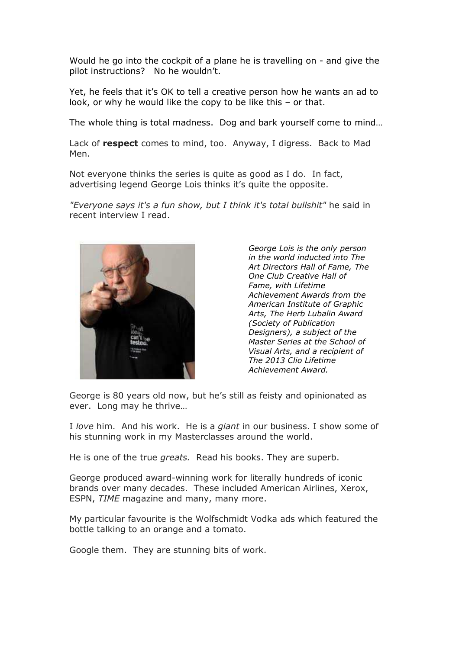Would he go into the cockpit of a plane he is travelling on - and give the pilot instructions? No he wouldn't.

Yet, he feels that it's OK to tell a creative person how he wants an ad to look, or why he would like the copy to be like this – or that.

The whole thing is total madness. Dog and bark yourself come to mind…

Lack of **respect** comes to mind, too. Anyway, I digress. Back to Mad Men.

Not everyone thinks the series is quite as good as I do. In fact, advertising legend George Lois thinks it's quite the opposite.

*"Everyone says it's a fun show, but I think it's total bullshit"* he said in recent interview I read.



*George Lois is the only person in the world inducted into The Art Directors Hall of Fame, The One Club Creative Hall of Fame, with Lifetime Achievement Awards from the American Institute of Graphic Arts, The Herb Lubalin Award (Society of Publication Designers), a subject of the Master Series at the School of Visual Arts, and a recipient of The 2013 Clio Lifetime Achievement Award.*

George is 80 years old now, but he's still as feisty and opinionated as ever. Long may he thrive…

I *love* him. And his work. He is a *giant* in our business. I show some of his stunning work in my Masterclasses around the world.

He is one of the true *greats.* Read his books. They are superb.

George produced award-winning work for literally hundreds of iconic brands over many decades. These included American Airlines, Xerox, ESPN, *TIME* magazine and many, many more.

My particular favourite is the Wolfschmidt Vodka ads which featured the bottle talking to an orange and a tomato.

Google them. They are stunning bits of work.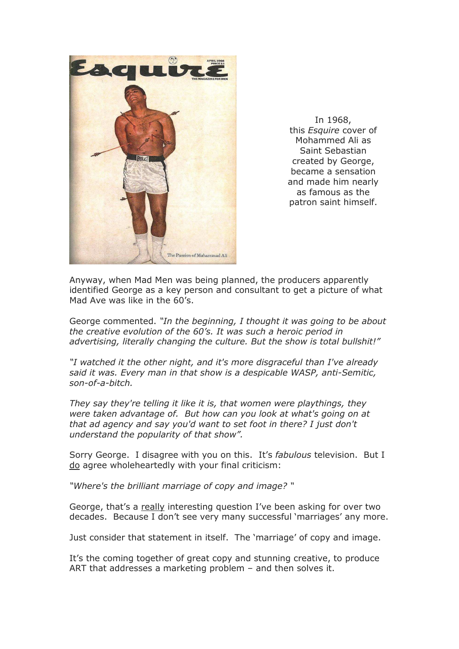

In 1968, this *Esquire* cover of Mohammed Ali as Saint Sebastian created by George, became a sensation and made him nearly as famous as the patron saint himself.

Anyway, when Mad Men was being planned, the producers apparently identified George as a key person and consultant to get a picture of what Mad Ave was like in the 60's.

George commented. *"In the beginning, I thought it was going to be about the creative evolution of the 60's. It was such a heroic period in advertising, literally changing the culture. But the show is total bullshit!"* 

*"I watched it the other night, and it's more disgraceful than I've already said it was. Every man in that show is a despicable WASP, anti-Semitic, son-of-a-bitch.* 

*They say they're telling it like it is, that women were playthings, they were taken advantage of. But how can you look at what's going on at that ad agency and say you'd want to set foot in there? I just don't understand the popularity of that show".* 

Sorry George. I disagree with you on this. It's *fabulous* television. But I do agree wholeheartedly with your final criticism:

*"Where's the brilliant marriage of copy and image? "* 

George, that's a really interesting question I've been asking for over two decades. Because I don't see very many successful 'marriages' any more.

Just consider that statement in itself. The 'marriage' of copy and image.

It's the coming together of great copy and stunning creative, to produce ART that addresses a marketing problem – and then solves it.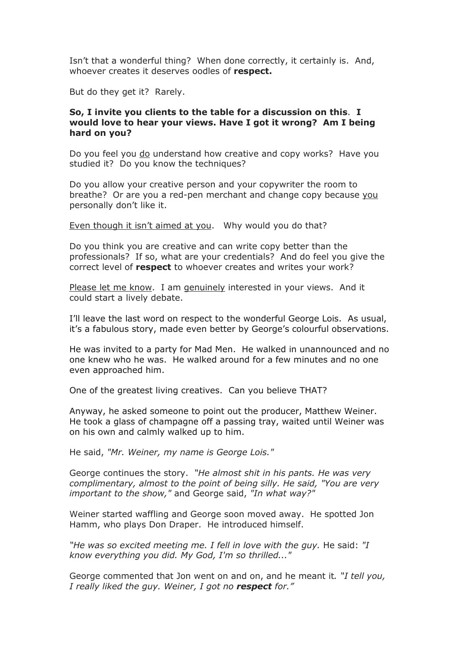Isn't that a wonderful thing? When done correctly, it certainly is. And, whoever creates it deserves oodles of **respect.** 

But do they get it? Rarely.

## **So, I invite you clients to the table for a discussion on this**. **I would love to hear your views. Have I got it wrong? Am I being hard on you?**

Do you feel you do understand how creative and copy works? Have you studied it? Do you know the techniques?

Do you allow your creative person and your copywriter the room to breathe? Or are you a red-pen merchant and change copy because you personally don't like it.

Even though it isn't aimed at you. Why would you do that?

Do you think you are creative and can write copy better than the professionals? If so, what are your credentials? And do feel you give the correct level of **respect** to whoever creates and writes your work?

Please let me know. I am genuinely interested in your views. And it could start a lively debate.

I'll leave the last word on respect to the wonderful George Lois. As usual, it's a fabulous story, made even better by George's colourful observations.

He was invited to a party for Mad Men. He walked in unannounced and no one knew who he was. He walked around for a few minutes and no one even approached him.

One of the greatest living creatives. Can you believe THAT?

Anyway, he asked someone to point out the producer, Matthew Weiner. He took a glass of champagne off a passing tray, waited until Weiner was on his own and calmly walked up to him.

He said, *"Mr. Weiner, my name is George Lois."*

George continues the story. *"He almost shit in his pants. He was very complimentary, almost to the point of being silly. He said, "You are very important to the show,"* and George said, *"In what way?"*

Weiner started waffling and George soon moved away. He spotted Jon Hamm, who plays Don Draper. He introduced himself.

*"He was so excited meeting me. I fell in love with the guy.* He said: *"I know everything you did. My God, I'm so thrilled..."* 

George commented that Jon went on and on, and he meant it*. "I tell you, I really liked the guy. Weiner, I got no respect for."*